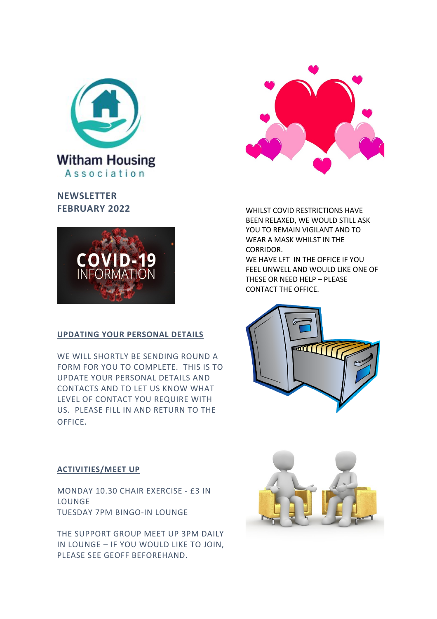

**NEWSLETTER FEBRUARY 2022**



## **UPDATING YOUR PERSONAL DETAILS**

WE WILL SHORTLY BE SENDING ROUND A FORM FOR YOU TO COMPLETE. THIS IS TO UPDATE YOUR PERSONAL DETAILS AND CONTACTS AND TO LET US KNOW WHAT LEVEL OF CONTACT YOU REQUIRE WITH US. PLEASE FILL IN AND RETURN TO THE OFFICE.



WHILST COVID RESTRICTIONS HAVE BEEN RELAXED, WE WOULD STILL ASK YOU TO REMAIN VIGILANT AND TO WEAR A MASK WHILST IN THE CORRIDOR. WE HAVE LFT IN THE OFFICE IF YOU FEEL UNWELL AND WOULD LIKE ONE OF THESE OR NEED HELP – PLEASE CONTACT THE OFFICE.



## **ACTIVITIES/MEET UP**

MONDAY 10.30 CHAIR EXERCISE - £3 IN LOUNGE TUESDAY 7PM BINGO-IN LOUNGE

THE SUPPORT GROUP MEET UP 3PM DAILY IN LOUNGE – IF YOU WOULD LIKE TO JOIN, PLEASE SEE GEOFF BEFOREHAND.